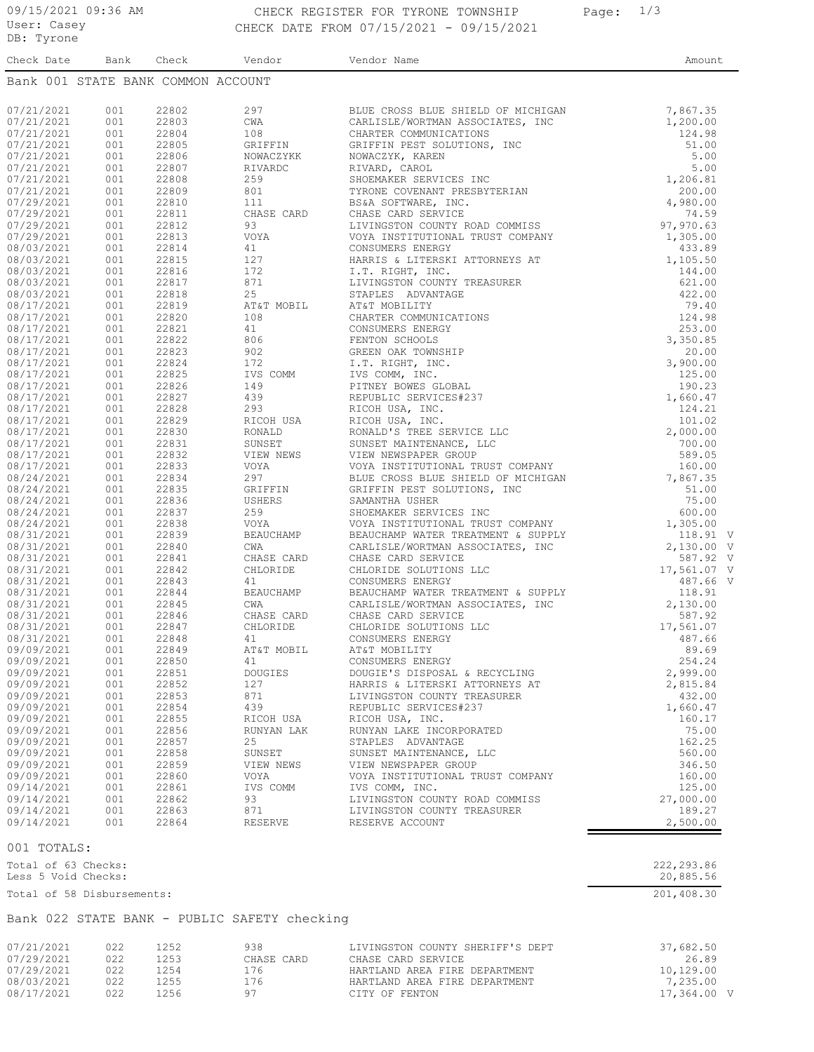## 09/15/2021 09:36 AM CHECK REGISTER FOR TYRONE TOWNSHIP Page: 1/3 CHECK DATE FROM 07/15/2021 - 09/15/2021

| Check Date                         | Bank | Check | Vendor           | Vendor Name                                                                     | Amount      |  |
|------------------------------------|------|-------|------------------|---------------------------------------------------------------------------------|-------------|--|
| Bank 001 STATE BANK COMMON ACCOUNT |      |       |                  |                                                                                 |             |  |
|                                    |      |       |                  |                                                                                 |             |  |
| 07/21/2021                         | 001  | 22802 | 297              | BLUE CROSS BLUE SHIELD OF MICHIGAN                                              | 7,867.35    |  |
| 07/21/2021                         | 001  | 22803 | CWA              | CARLISLE/WORTMAN ASSOCIATES, INC                                                | 1,200.00    |  |
| 07/21/2021                         | 001  | 22804 | 108              | CHARTER COMMUNICATIONS                                                          | 124.98      |  |
| 07/21/2021                         | 001  | 22805 | GRIFFIN          | GRIFFIN PEST SOLUTIONS, INC                                                     | 51.00       |  |
| 07/21/2021                         | 001  | 22806 | NOWACZYKK        | NOWACZYK, KAREN                                                                 | 5.00        |  |
| 07/21/2021                         | 001  | 22807 | RIVARDC          | RIVARD, CAROL                                                                   | 5.00        |  |
| 07/21/2021                         | 001  | 22808 | 259              | SHOEMAKER SERVICES INC                                                          | 1,206.81    |  |
| 07/21/2021                         | 001  | 22809 | 801              | TYRONE COVENANT PRESBYTERIAN                                                    | 200.00      |  |
| 07/29/2021                         | 001  | 22810 | 111              | BS&A SOFTWARE, INC.                                                             | 4,980.00    |  |
| 07/29/2021                         | 001  | 22811 | CHASE CARD       | CHASE CARD SERVICE                                                              | 74.59       |  |
| 07/29/2021                         | 001  | 22812 | 93               | LIVINGSTON COUNTY ROAD COMMISS                                                  | 97,970.63   |  |
| 07/29/2021                         | 001  | 22813 | VOYA             | VOYA INSTITUTIONAL TRUST COMPANY                                                | 1,305.00    |  |
| 08/03/2021                         | 001  | 22814 | 41               | CONSUMERS ENERGY                                                                | 433.89      |  |
|                                    |      |       |                  |                                                                                 |             |  |
| 08/03/2021                         | 001  | 22815 | 127              | HARRIS & LITERSKI ATTORNEYS AT                                                  | 1,105.50    |  |
| 08/03/2021                         | 001  | 22816 | 172              | I.T. RIGHT, INC.                                                                | 144.00      |  |
| 08/03/2021                         | 001  | 22817 | 871              | LIVINGSTON COUNTY TREASURER                                                     | 621.00      |  |
| 08/03/2021                         | 001  | 22818 | 25               | STAPLES ADVANTAGE                                                               | 422.00      |  |
| 08/17/2021                         | 001  | 22819 | AT&T MOBIL       | AT&T MOBILITY                                                                   | 79.40       |  |
| 08/17/2021                         | 001  | 22820 | 108              | RASURER<br>NS<br>NS<br>NS<br>LLC<br>LLC<br>LLC<br>LLC<br>CHARTER COMMUNICATIONS | 124.98      |  |
| 08/17/2021                         | 001  | 22821 | 41               | CONSUMERS ENERGY                                                                | 253.00      |  |
| 08/17/2021                         | 001  | 22822 | 806              | FENTON SCHOOLS                                                                  | 3,350.85    |  |
| 08/17/2021                         | 001  | 22823 | 902              | GREEN OAK TOWNSHIP                                                              | 20.00       |  |
| 08/17/2021                         | 001  | 22824 | 172              | I.T. RIGHT, INC.                                                                | 3,900.00    |  |
| 08/17/2021                         | 001  | 22825 | IVS COMM         | IVS COMM, INC.                                                                  | 125.00      |  |
| 08/17/2021                         | 001  | 22826 | 149              | PITNEY BOWES GLOBAL                                                             | 190.23      |  |
| 08/17/2021                         | 001  | 22827 | 439              | REPUBLIC SERVICES#237                                                           | 1,660.47    |  |
| 08/17/2021                         | 001  | 22828 | 293              | RICOH USA, INC.                                                                 | 124.21      |  |
| 08/17/2021                         | 001  | 22829 | RICOH USA        | RICOH USA, INC.                                                                 | 101.02      |  |
| 08/17/2021                         | 001  | 22830 | RONALD           | RONALD'S TREE SERVICE LLC                                                       | 2,000.00    |  |
| 08/17/2021                         | 001  | 22831 | SUNSET           | SUNSET MAINTENANCE, LLC                                                         | 700.00      |  |
|                                    | 001  | 22832 |                  |                                                                                 | 589.05      |  |
| 08/17/2021                         |      |       | VIEW NEWS        | VIEW NEWSPAPER GROUP                                                            |             |  |
| 08/17/2021                         | 001  | 22833 | VOYA             | VOYA INSTITUTIONAL TRUST COMPANY                                                | 160.00      |  |
| 08/24/2021                         | 001  | 22834 | 297              | BLUE CROSS BLUE SHIELD OF MICHIGAN                                              | 7,867.35    |  |
| 08/24/2021                         | 001  | 22835 | GRIFFIN          | GRIFFIN PEST SOLUTIONS, INC                                                     | 51.00       |  |
| 08/24/2021                         | 001  | 22836 | USHERS           | SAMANTHA USHER                                                                  | 75.00       |  |
| 08/24/2021                         | 001  | 22837 | 259              | SHOEMAKER SERVICES INC                                                          | 600.00      |  |
| 08/24/2021                         | 001  | 22838 | VOYA             | VOYA INSTITUTIONAL TRUST COMPANY                                                | 1,305.00    |  |
| 08/31/2021                         | 001  | 22839 | BEAUCHAMP        | BEAUCHAMP WATER TREATMENT & SUPPLY                                              | 118.91 V    |  |
| 08/31/2021                         | 001  | 22840 | CWA              | CARLISLE/WORTMAN ASSOCIATES, INC                                                | 2,130.00 V  |  |
| 08/31/2021                         | 001  | 22841 | CHASE CARD       | CHASE CARD SERVICE                                                              | 587.92 V    |  |
| 08/31/2021                         | 001  | 22842 | CHLORIDE         | CHLORIDE SOLUTIONS LLC                                                          | 17,561.07 V |  |
| 08/31/2021                         | 001  | 22843 | 41               | CONSUMERS ENERGY                                                                | 487.66 V    |  |
| 08/31/2021                         | 001  | 22844 | <b>BEAUCHAMP</b> | BEAUCHAMP WATER TREATMENT & SUPPLY                                              | 118.91      |  |
| 08/31/2021                         | 001  | 22845 | CWA              | CARLISLE/WORTMAN ASSOCIATES, INC                                                | 2,130.00    |  |
| 08/31/2021                         | 001  | 22846 | CHASE CARD       | CHASE CARD SERVICE                                                              | 587.92      |  |
| 08/31/2021                         | 001  | 22847 | CHLORIDE         | CHLORIDE SOLUTIONS LLC                                                          | 17,561.07   |  |
| 08/31/2021                         | 001  | 22848 | 41               | CONSUMERS ENERGY                                                                | 487.66      |  |
| 09/09/2021                         | 001  | 22849 | AT&T MOBIL       | AT&T MOBILITY                                                                   | 89.69       |  |
| 09/09/2021                         | 001  | 22850 | 41               | CONSUMERS ENERGY                                                                | 254.24      |  |
| 09/09/2021                         | 001  | 22851 | <b>DOUGIES</b>   | DOUGIE'S DISPOSAL & RECYCLING                                                   | 2,999.00    |  |
|                                    |      |       |                  |                                                                                 |             |  |
| 09/09/2021                         | 001  | 22852 | 127              | HARRIS & LITERSKI ATTORNEYS AT                                                  | 2,815.84    |  |
| 09/09/2021                         | 001  | 22853 | 871              | LIVINGSTON COUNTY TREASURER                                                     | 432.00      |  |
| 09/09/2021                         | 001  | 22854 | 439              | REPUBLIC SERVICES#237                                                           | 1,660.47    |  |
| 09/09/2021                         | 001  | 22855 | RICOH USA        | RICOH USA, INC.                                                                 | 160.17      |  |
| 09/09/2021                         | 001  | 22856 | RUNYAN LAK       | RUNYAN LAKE INCORPORATED                                                        | 75.00       |  |
| 09/09/2021                         | 001  | 22857 | 25               | STAPLES ADVANTAGE                                                               | 162.25      |  |
| 09/09/2021                         | 001  | 22858 | SUNSET           | SUNSET MAINTENANCE, LLC                                                         | 560.00      |  |
| 09/09/2021                         | 001  | 22859 | VIEW NEWS        | VIEW NEWSPAPER GROUP                                                            | 346.50      |  |
| 09/09/2021                         | 001  | 22860 | VOYA             | VOYA INSTITUTIONAL TRUST COMPANY                                                | 160.00      |  |
| 09/14/2021                         | 001  | 22861 | IVS COMM         | IVS COMM, INC.                                                                  | 125.00      |  |
| 09/14/2021                         | 001  | 22862 | 93               | LIVINGSTON COUNTY ROAD COMMISS                                                  | 27,000.00   |  |
| 09/14/2021                         | 001  | 22863 | 871              | LIVINGSTON COUNTY TREASURER                                                     | 189.27      |  |

001 TOTALS:

| Total of 63 Checks:<br>Less 5 Void Checks:   | 222,293.86<br>20,885.56 |
|----------------------------------------------|-------------------------|
| Total of 58 Disbursements:                   | 201,408.30              |
| Bank 022 STATE BANK - PUBLIC SAFETY checking |                         |

09/14/2021 001 22864 RESERVE RESERVE ACCOUNT 2,500.00

| 07/21/2021 | 022 | 1252 | 938        | LIVINGSTON COUNTY SHERIFF'S DEPT | 37,682.50   |
|------------|-----|------|------------|----------------------------------|-------------|
| 07/29/2021 | 022 | 1253 | CHASE CARD | CHASE CARD SERVICE               | 26.89       |
| 07/29/2021 | 022 | 1254 | '76        | HARTLAND AREA FIRE DEPARTMENT    | 10,129.00   |
| 08/03/2021 | 022 | 1255 | 176        | HARTLAND AREA FIRE DEPARTMENT    | 7,235.00    |
| 08/17/2021 | 022 | 1256 | ۹٦         | CITY OF FENTON                   | 17,364.00 V |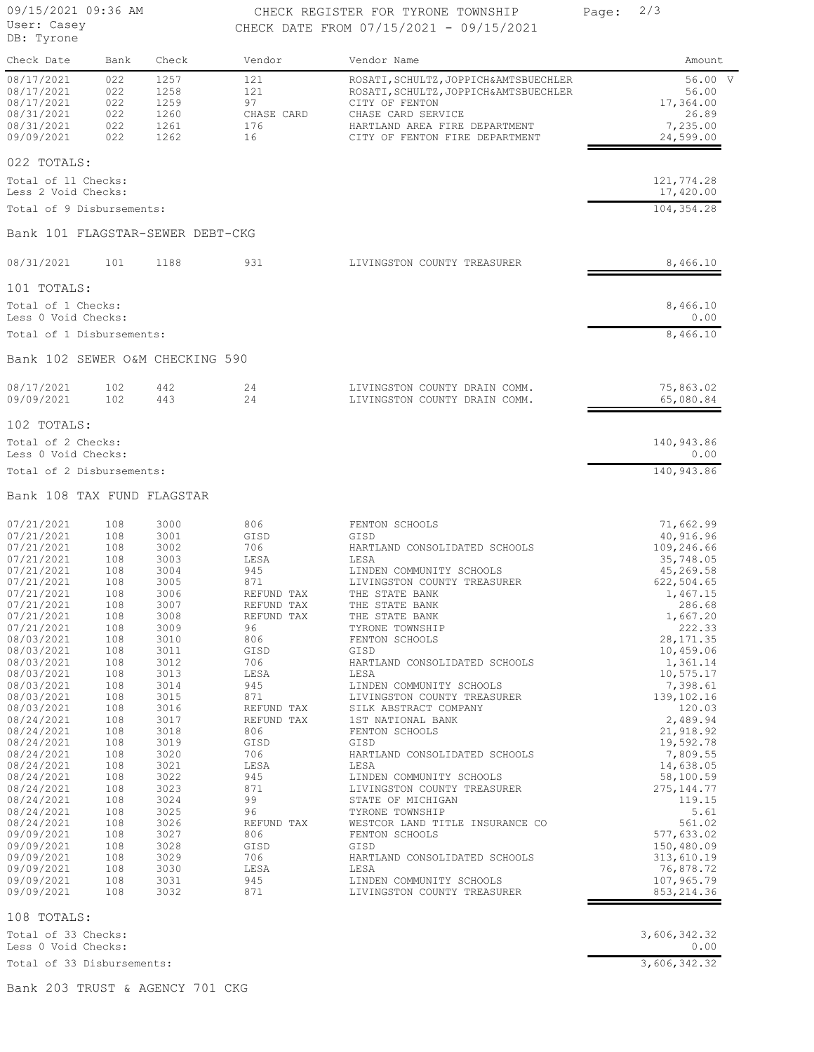User: Casey DB: Tyrone

## 09/15/2021 09:36 AM CHECK REGISTER FOR TYRONE TOWNSHIP Page: 2/3 CHECK DATE FROM 07/15/2021 - 09/15/2021

Check Date Bank Check Vendor Vendor Name **Amount** 

| 08/17/2021<br>08/17/2021<br>08/17/2021<br>08/31/2021<br>08/31/2021<br>09/09/2021                                                                                                                                                                         | 022<br>022<br>022<br>022<br>022<br>022                                                                                     | 1257<br>1258<br>1259<br>1260<br>1261<br>1262                                                                                                 | 121<br>121<br>97<br>CHASE CARD<br>176<br>16                                                                                                                      | ROSATI, SCHULTZ, JOPPICH&AMTSBUECHLER<br>ROSATI, SCHULTZ, JOPPICH&AMTSBUECHLER<br>CITY OF FENTON<br>CHASE CARD SERVICE<br>HARTLAND AREA FIRE DEPARTMENT<br>CITY OF FENTON FIRE DEPARTMENT                                                                                                                                                                                       | 56.00 V<br>56.00<br>17,364.00<br>26.89<br>7,235.00<br>24,599.00                                                                                                                                                              |
|----------------------------------------------------------------------------------------------------------------------------------------------------------------------------------------------------------------------------------------------------------|----------------------------------------------------------------------------------------------------------------------------|----------------------------------------------------------------------------------------------------------------------------------------------|------------------------------------------------------------------------------------------------------------------------------------------------------------------|---------------------------------------------------------------------------------------------------------------------------------------------------------------------------------------------------------------------------------------------------------------------------------------------------------------------------------------------------------------------------------|------------------------------------------------------------------------------------------------------------------------------------------------------------------------------------------------------------------------------|
| 022 TOTALS:<br>Total of 11 Checks:<br>Less 2 Void Checks:                                                                                                                                                                                                |                                                                                                                            |                                                                                                                                              |                                                                                                                                                                  |                                                                                                                                                                                                                                                                                                                                                                                 | 121,774.28<br>17,420.00                                                                                                                                                                                                      |
| Total of 9 Disbursements:                                                                                                                                                                                                                                |                                                                                                                            |                                                                                                                                              |                                                                                                                                                                  |                                                                                                                                                                                                                                                                                                                                                                                 | 104,354.28                                                                                                                                                                                                                   |
| Bank 101 FLAGSTAR-SEWER DEBT-CKG                                                                                                                                                                                                                         |                                                                                                                            |                                                                                                                                              |                                                                                                                                                                  |                                                                                                                                                                                                                                                                                                                                                                                 |                                                                                                                                                                                                                              |
| 08/31/2021                                                                                                                                                                                                                                               | 101                                                                                                                        | 1188                                                                                                                                         | 931                                                                                                                                                              | LIVINGSTON COUNTY TREASURER                                                                                                                                                                                                                                                                                                                                                     | 8,466.10                                                                                                                                                                                                                     |
| 101 TOTALS:<br>Total of 1 Checks:<br>Less 0 Void Checks:                                                                                                                                                                                                 |                                                                                                                            |                                                                                                                                              |                                                                                                                                                                  |                                                                                                                                                                                                                                                                                                                                                                                 | 8,466.10<br>0.00                                                                                                                                                                                                             |
| Total of 1 Disbursements:                                                                                                                                                                                                                                |                                                                                                                            |                                                                                                                                              |                                                                                                                                                                  |                                                                                                                                                                                                                                                                                                                                                                                 | 8,466.10                                                                                                                                                                                                                     |
| Bank 102 SEWER O&M CHECKING 590                                                                                                                                                                                                                          |                                                                                                                            |                                                                                                                                              |                                                                                                                                                                  |                                                                                                                                                                                                                                                                                                                                                                                 |                                                                                                                                                                                                                              |
| 08/17/2021<br>09/09/2021                                                                                                                                                                                                                                 | 102<br>102                                                                                                                 | 442<br>443                                                                                                                                   | 24<br>24                                                                                                                                                         | LIVINGSTON COUNTY DRAIN COMM.<br>LIVINGSTON COUNTY DRAIN COMM.                                                                                                                                                                                                                                                                                                                  | 75,863.02<br>65,080.84                                                                                                                                                                                                       |
| 102 TOTALS:                                                                                                                                                                                                                                              |                                                                                                                            |                                                                                                                                              |                                                                                                                                                                  |                                                                                                                                                                                                                                                                                                                                                                                 |                                                                                                                                                                                                                              |
| Total of 2 Checks:<br>Less 0 Void Checks:                                                                                                                                                                                                                |                                                                                                                            |                                                                                                                                              |                                                                                                                                                                  |                                                                                                                                                                                                                                                                                                                                                                                 | 140,943.86<br>0.00                                                                                                                                                                                                           |
| Total of 2 Disbursements:                                                                                                                                                                                                                                |                                                                                                                            |                                                                                                                                              |                                                                                                                                                                  |                                                                                                                                                                                                                                                                                                                                                                                 | 140,943.86                                                                                                                                                                                                                   |
| Bank 108 TAX FUND FLAGSTAR                                                                                                                                                                                                                               |                                                                                                                            |                                                                                                                                              |                                                                                                                                                                  |                                                                                                                                                                                                                                                                                                                                                                                 |                                                                                                                                                                                                                              |
| 07/21/2021<br>07/21/2021<br>07/21/2021<br>07/21/2021<br>07/21/2021<br>07/21/2021<br>07/21/2021<br>07/21/2021<br>07/21/2021<br>07/21/2021<br>08/03/2021<br>08/03/2021<br>08/03/2021<br>08/03/2021<br>08/03/2021<br>08/03/2021<br>08/03/2021<br>08/24/2021 | 108<br>108<br>108<br>108<br>108<br>108<br>108<br>108<br>108<br>108<br>108<br>108<br>108<br>108<br>108<br>108<br>108<br>108 | 3000<br>3001<br>3002<br>3003<br>3004<br>3005<br>3006<br>3007<br>3008<br>3009<br>3010<br>3011<br>3012<br>3013<br>3014<br>3015<br>3016<br>3017 | 806<br>GISD<br>706<br>LESA<br>945<br>871<br>REFUND TAX<br>REFUND TAX<br>REFUND TAX<br>96<br>806<br>GISD<br>706<br>LESA<br>945<br>871<br>REFUND TAX<br>REFUND TAX | FENTON SCHOOLS<br>GISD<br>HARTLAND CONSOLIDATED SCHOOLS<br>LESA<br>LINDEN COMMUNITY SCHOOLS<br>LIVINGSTON COUNTY TREASURER<br>THE STATE BANK<br>THE STATE BANK<br>THE STATE BANK<br>TYRONE TOWNSHIP<br>FENTON SCHOOLS<br>GISD<br>HARTLAND CONSOLIDATED SCHOOLS<br>LESA<br>LINDEN COMMUNITY SCHOOLS<br>LIVINGSTON COUNTY TREASURER<br>SILK ABSTRACT COMPANY<br>1ST NATIONAL BANK | 71,662.99<br>40,916.96<br>109,246.66<br>35,748.05<br>45,269.58<br>622,504.65<br>1,467.15<br>286.68<br>1,667.20<br>222.33<br>28, 171.35<br>10,459.06<br>1,361.14<br>10,575.17<br>7,398.61<br>139,102.16<br>120.03<br>2,489.94 |
| 08/24/2021<br>08/24/2021<br>08/24/2021<br>08/24/2021<br>08/24/2021<br>08/24/2021<br>08/24/2021<br>08/24/2021<br>08/24/2021<br>09/09/2021<br>09/09/2021<br>09/09/2021<br>09/09/2021<br>09/09/2021<br>09/09/2021                                           | 108<br>108<br>108<br>108<br>108<br>108<br>108<br>108<br>108<br>108<br>108<br>108<br>108<br>108<br>108                      | 3018<br>3019<br>3020<br>3021<br>3022<br>3023<br>3024<br>3025<br>3026<br>3027<br>3028<br>3029<br>3030<br>3031<br>3032                         | 806<br>GISD<br>706<br>LESA<br>945<br>871<br>99<br>96<br>REFUND TAX<br>806<br>GISD<br>706<br>LESA<br>945<br>871                                                   | FENTON SCHOOLS<br>GISD<br>HARTLAND CONSOLIDATED SCHOOLS<br>LESA<br>LINDEN COMMUNITY SCHOOLS<br>LIVINGSTON COUNTY TREASURER<br>STATE OF MICHIGAN<br>TYRONE TOWNSHIP<br>WESTCOR LAND TITLE INSURANCE CO<br>FENTON SCHOOLS<br>GISD<br>HARTLAND CONSOLIDATED SCHOOLS<br>LESA<br>LINDEN COMMUNITY SCHOOLS<br>LIVINGSTON COUNTY TREASURER                                             | 21,918.92<br>19,592.78<br>7,809.55<br>14,638.05<br>58,100.59<br>275, 144. 77<br>119.15<br>5.61<br>561.02<br>577,633.02<br>150,480.09<br>313,610.19<br>76,878.72<br>107,965.79<br>853, 214.36                                 |

108 TOTALS:

Less 0 Void Checks: 0.00 Total of 33 Checks: 3,606,342.32

Total of 33 Disbursements: 3,606,342.32

Bank 203 TRUST & AGENCY 701 CKG